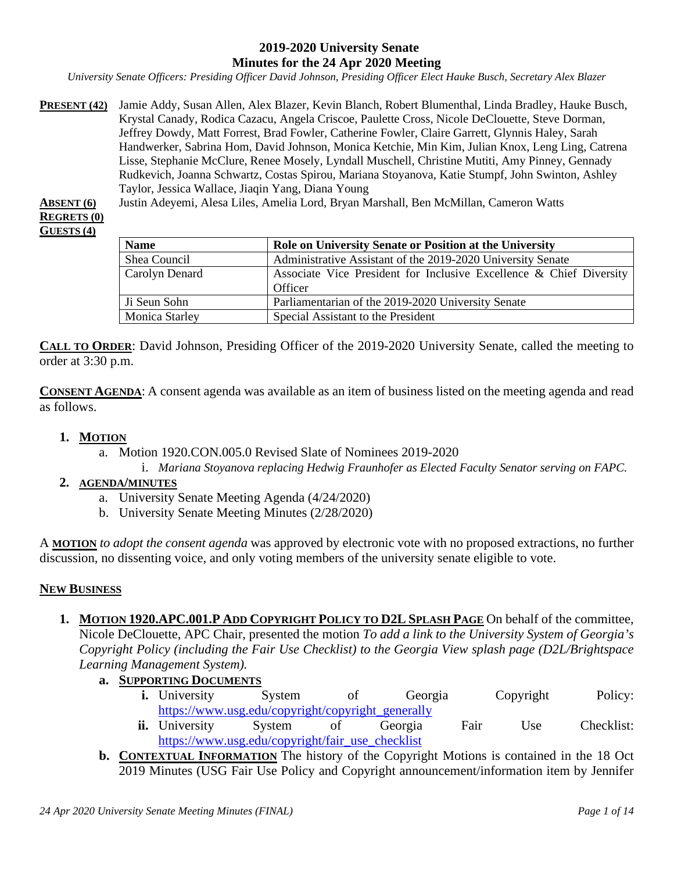#### **2019-2020 University Senate Minutes for the 24 Apr 2020 Meeting**

*University Senate Officers: Presiding Officer David Johnson, Presiding Officer Elect Hauke Busch, Secretary Alex Blazer*

**PRESENT (42)** Jamie Addy, Susan Allen, Alex Blazer, Kevin Blanch, Robert Blumenthal, Linda Bradley, Hauke Busch, Krystal Canady, Rodica Cazacu, Angela Criscoe, Paulette Cross, Nicole DeClouette, Steve Dorman, Jeffrey Dowdy, Matt Forrest, Brad Fowler, Catherine Fowler, Claire Garrett, Glynnis Haley, Sarah Handwerker, Sabrina Hom, David Johnson, Monica Ketchie, Min Kim, Julian Knox, Leng Ling, Catrena Lisse, Stephanie McClure, Renee Mosely, Lyndall Muschell, Christine Mutiti, Amy Pinney, Gennady Rudkevich, Joanna Schwartz, Costas Spirou, Mariana Stoyanova, Katie Stumpf, John Swinton, Ashley Taylor, Jessica Wallace, Jiaqin Yang, Diana Young

**ABSENT (6)** Justin Adeyemi, Alesa Liles, Amelia Lord, Bryan Marshall, Ben McMillan, Cameron Watts **REGRETS (0)**

**GUESTS (4)**

| <b>Name</b>           | Role on University Senate or Position at the University                        |  |  |
|-----------------------|--------------------------------------------------------------------------------|--|--|
| Shea Council          | Administrative Assistant of the 2019-2020 University Senate                    |  |  |
| Carolyn Denard        | Associate Vice President for Inclusive Excellence & Chief Diversity<br>Officer |  |  |
| Ji Seun Sohn          | Parliamentarian of the 2019-2020 University Senate                             |  |  |
| <b>Monica Starley</b> | Special Assistant to the President                                             |  |  |

**CALL TO ORDER**: David Johnson, Presiding Officer of the 2019-2020 University Senate, called the meeting to order at 3:30 p.m.

**CONSENT AGENDA**: A consent agenda was available as an item of business listed on the meeting agenda and read as follows.

#### **1. MOTION**

- a. Motion 1920.CON.005.0 Revised Slate of Nominees 2019-2020
- i. *Mariana Stoyanova replacing Hedwig Fraunhofer as Elected Faculty Senator serving on FAPC.*

#### **2. AGENDA/MINUTES**

- a. University Senate Meeting Agenda (4/24/2020)
- b. University Senate Meeting Minutes (2/28/2020)

A **MOTION** *to adopt the consent agenda* was approved by electronic vote with no proposed extractions, no further discussion, no dissenting voice, and only voting members of the university senate eligible to vote.

#### **NEW BUSINESS**

- **1. MOTION 1920.APC.001.P ADD COPYRIGHT POLICY TO D2L SPLASH PAGE** On behalf of the committee, Nicole DeClouette, APC Chair, presented the motion *To add a link to the University System of Georgia's Copyright Policy (including the Fair Use Checklist) to the Georgia View splash page (D2L/Brightspace Learning Management System).*
	- **a. SUPPORTING DOCUMENTS**
		- **i.** University System of Georgia Copyright Policy: [https://www.usg.edu/copyright/copyright\\_generally](https://www.usg.edu/copyright/copyright_generally)
		- **ii.** University System of Georgia Fair Use Checklist: [https://www.usg.edu/copyright/fair\\_use\\_checklist](https://www.usg.edu/copyright/fair_use_checklist)
	- **b. CONTEXTUAL INFORMATION** The history of the Copyright Motions is contained in the 18 Oct 2019 Minutes (USG Fair Use Policy and Copyright announcement/information item by Jennifer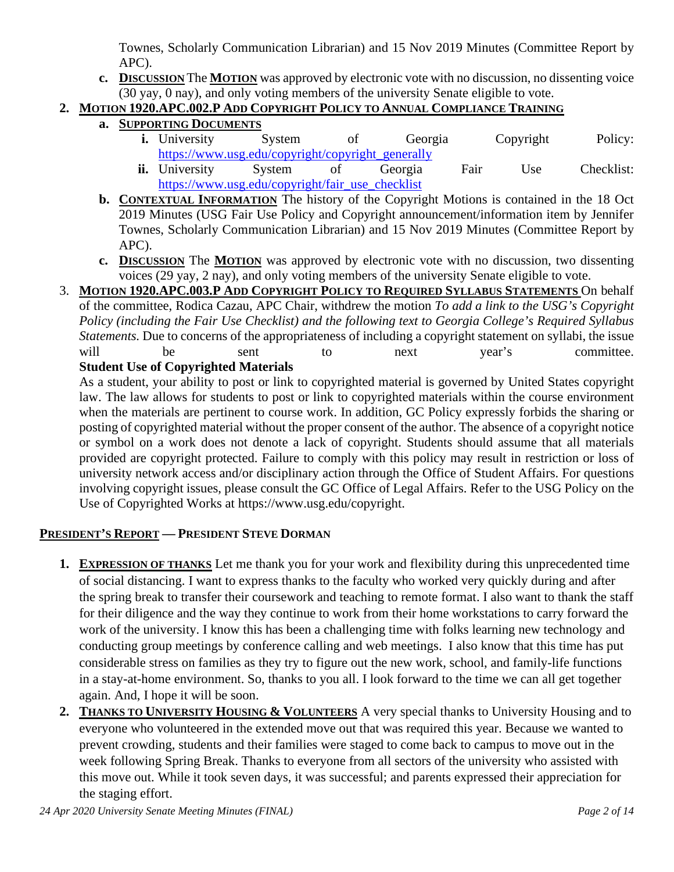Townes, Scholarly Communication Librarian) and 15 Nov 2019 Minutes (Committee Report by APC).

**c. DISCUSSION** The **MOTION** was approved by electronic vote with no discussion, no dissenting voice (30 yay, 0 nay), and only voting members of the university Senate eligible to vote.

## **2. MOTION 1920.APC.002.P ADD COPYRIGHT POLICY TO ANNUAL COMPLIANCE TRAINING**

- **a. SUPPORTING DOCUMENTS**
	- **i.** University System of Georgia Copyright Policy: [https://www.usg.edu/copyright/copyright\\_generally](https://www.usg.edu/copyright/copyright_generally)
	- **ii.** University System of Georgia Fair Use Checklist: [https://www.usg.edu/copyright/fair\\_use\\_checklist](https://www.usg.edu/copyright/fair_use_checklist)
- **b. CONTEXTUAL INFORMATION** The history of the Copyright Motions is contained in the 18 Oct 2019 Minutes (USG Fair Use Policy and Copyright announcement/information item by Jennifer Townes, Scholarly Communication Librarian) and 15 Nov 2019 Minutes (Committee Report by APC).
- **c. DISCUSSION** The **MOTION** was approved by electronic vote with no discussion, two dissenting voices (29 yay, 2 nay), and only voting members of the university Senate eligible to vote.
- 3. **MOTION 1920.APC.003.P ADD COPYRIGHT POLICY TO REQUIRED SYLLABUS STATEMENTS** On behalf of the committee, Rodica Cazau, APC Chair, withdrew the motion *To add a link to the USG's Copyright Policy (including the Fair Use Checklist) and the following text to Georgia College's Required Syllabus Statements.* Due to concerns of the appropriateness of including a copyright statement on syllabi, the issue will be sent to next year's committee.

# **Student Use of Copyrighted Materials**

As a student, your ability to post or link to copyrighted material is governed by United States copyright law. The law allows for students to post or link to copyrighted materials within the course environment when the materials are pertinent to course work. In addition, GC Policy expressly forbids the sharing or posting of copyrighted material without the proper consent of the author. The absence of a copyright notice or symbol on a work does not denote a lack of copyright. Students should assume that all materials provided are copyright protected. Failure to comply with this policy may result in restriction or loss of university network access and/or disciplinary action through the Office of Student Affairs. For questions involving copyright issues, please consult the GC Office of Legal Affairs. Refer to the USG Policy on the Use of Copyrighted Works at https://www.usg.edu/copyright.

## **PRESIDENT'S REPORT — PRESIDENT STEVE DORMAN**

- **1. EXPRESSION OF THANKS** Let me thank you for your work and flexibility during this unprecedented time of social distancing. I want to express thanks to the faculty who worked very quickly during and after the spring break to transfer their coursework and teaching to remote format. I also want to thank the staff for their diligence and the way they continue to work from their home workstations to carry forward the work of the university. I know this has been a challenging time with folks learning new technology and conducting group meetings by conference calling and web meetings. I also know that this time has put considerable stress on families as they try to figure out the new work, school, and family-life functions in a stay-at-home environment. So, thanks to you all. I look forward to the time we can all get together again. And, I hope it will be soon.
- **2. THANKS TO UNIVERSITY HOUSING & VOLUNTEERS** A very special thanks to University Housing and to everyone who volunteered in the extended move out that was required this year. Because we wanted to prevent crowding, students and their families were staged to come back to campus to move out in the week following Spring Break. Thanks to everyone from all sectors of the university who assisted with this move out. While it took seven days, it was successful; and parents expressed their appreciation for the staging effort.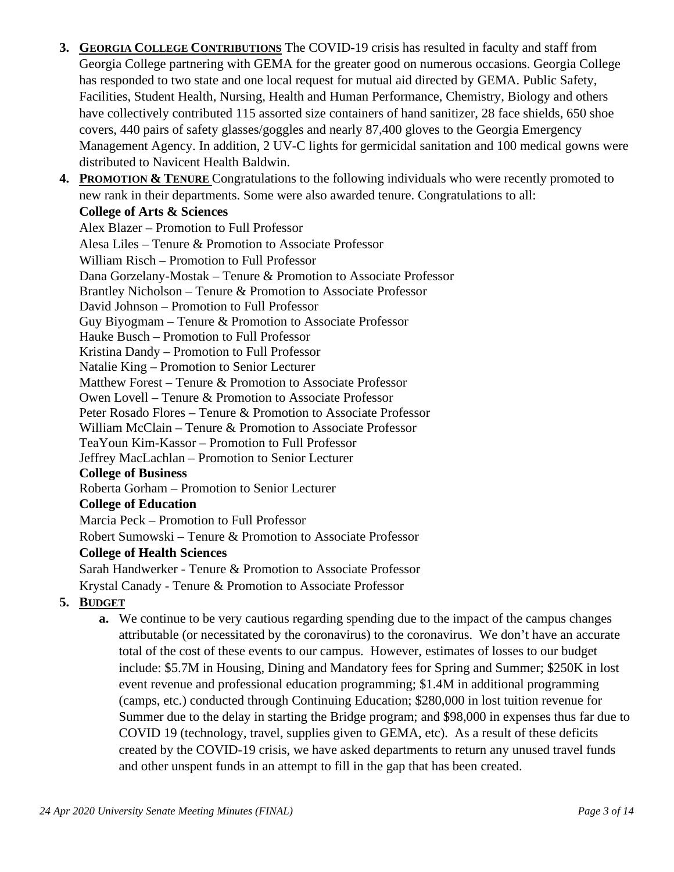- **3. GEORGIA COLLEGE CONTRIBUTIONS** The COVID-19 crisis has resulted in faculty and staff from Georgia College partnering with GEMA for the greater good on numerous occasions. Georgia College has responded to two state and one local request for mutual aid directed by GEMA. Public Safety, Facilities, Student Health, Nursing, Health and Human Performance, Chemistry, Biology and others have collectively contributed 115 assorted size containers of hand sanitizer, 28 face shields, 650 shoe covers, 440 pairs of safety glasses/goggles and nearly 87,400 gloves to the Georgia Emergency Management Agency. In addition, 2 UV-C lights for germicidal sanitation and 100 medical gowns were distributed to Navicent Health Baldwin.
- **4. PROMOTION & TENURE** Congratulations to the following individuals who were recently promoted to new rank in their departments. Some were also awarded tenure. Congratulations to all: **College of Arts & Sciences**

Alex Blazer – Promotion to Full Professor Alesa Liles – Tenure & Promotion to Associate Professor William Risch – Promotion to Full Professor Dana Gorzelany-Mostak – Tenure & Promotion to Associate Professor Brantley Nicholson – Tenure & Promotion to Associate Professor David Johnson – Promotion to Full Professor Guy Biyogmam – Tenure & Promotion to Associate Professor Hauke Busch – Promotion to Full Professor Kristina Dandy – Promotion to Full Professor Natalie King – Promotion to Senior Lecturer Matthew Forest – Tenure & Promotion to Associate Professor Owen Lovell – Tenure & Promotion to Associate Professor Peter Rosado Flores – Tenure & Promotion to Associate Professor William McClain – Tenure & Promotion to Associate Professor TeaYoun Kim-Kassor – Promotion to Full Professor Jeffrey MacLachlan – Promotion to Senior Lecturer **College of Business**  Roberta Gorham – Promotion to Senior Lecturer **College of Education**  Marcia Peck – Promotion to Full Professor Robert Sumowski – Tenure & Promotion to Associate Professor **College of Health Sciences**  Sarah Handwerker - Tenure & Promotion to Associate Professor Krystal Canady - Tenure & Promotion to Associate Professor

- **5. BUDGET**
	- **a.** We continue to be very cautious regarding spending due to the impact of the campus changes attributable (or necessitated by the coronavirus) to the coronavirus. We don't have an accurate total of the cost of these events to our campus. However, estimates of losses to our budget include: \$5.7M in Housing, Dining and Mandatory fees for Spring and Summer; \$250K in lost event revenue and professional education programming; \$1.4M in additional programming (camps, etc.) conducted through Continuing Education; \$280,000 in lost tuition revenue for Summer due to the delay in starting the Bridge program; and \$98,000 in expenses thus far due to COVID 19 (technology, travel, supplies given to GEMA, etc). As a result of these deficits created by the COVID-19 crisis, we have asked departments to return any unused travel funds and other unspent funds in an attempt to fill in the gap that has been created.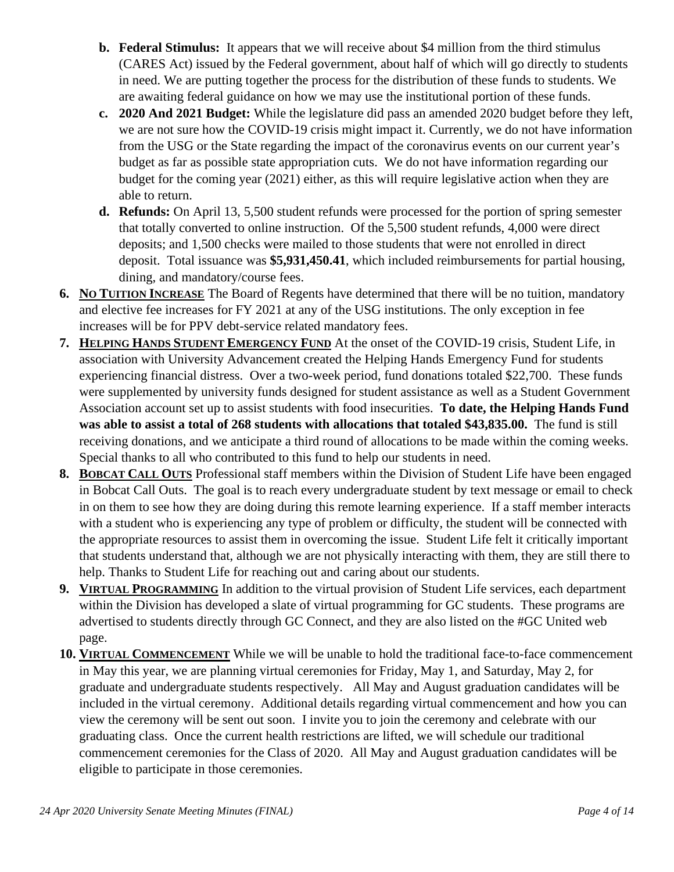- **b. Federal Stimulus:** It appears that we will receive about \$4 million from the third stimulus (CARES Act) issued by the Federal government, about half of which will go directly to students in need. We are putting together the process for the distribution of these funds to students. We are awaiting federal guidance on how we may use the institutional portion of these funds.
- **c. 2020 And 2021 Budget:** While the legislature did pass an amended 2020 budget before they left, we are not sure how the COVID-19 crisis might impact it. Currently, we do not have information from the USG or the State regarding the impact of the coronavirus events on our current year's budget as far as possible state appropriation cuts. We do not have information regarding our budget for the coming year (2021) either, as this will require legislative action when they are able to return.
- **d. Refunds:** On April 13, 5,500 student refunds were processed for the portion of spring semester that totally converted to online instruction. Of the 5,500 student refunds, 4,000 were direct deposits; and 1,500 checks were mailed to those students that were not enrolled in direct deposit. Total issuance was **\$5,931,450.41**, which included reimbursements for partial housing, dining, and mandatory/course fees.
- **6. NO TUITION INCREASE** The Board of Regents have determined that there will be no tuition, mandatory and elective fee increases for FY 2021 at any of the USG institutions. The only exception in fee increases will be for PPV debt-service related mandatory fees.
- **7. HELPING HANDS STUDENT EMERGENCY FUND** At the onset of the COVID-19 crisis, Student Life, in association with University Advancement created the Helping Hands Emergency Fund for students experiencing financial distress. Over a two-week period, fund donations totaled \$22,700. These funds were supplemented by university funds designed for student assistance as well as a Student Government Association account set up to assist students with food insecurities. **To date, the Helping Hands Fund was able to assist a total of 268 students with allocations that totaled \$43,835.00.** The fund is still receiving donations, and we anticipate a third round of allocations to be made within the coming weeks. Special thanks to all who contributed to this fund to help our students in need.
- **8. BOBCAT CALL OUTS** Professional staff members within the Division of Student Life have been engaged in Bobcat Call Outs. The goal is to reach every undergraduate student by text message or email to check in on them to see how they are doing during this remote learning experience. If a staff member interacts with a student who is experiencing any type of problem or difficulty, the student will be connected with the appropriate resources to assist them in overcoming the issue. Student Life felt it critically important that students understand that, although we are not physically interacting with them, they are still there to help. Thanks to Student Life for reaching out and caring about our students.
- **9. VIRTUAL PROGRAMMING** In addition to the virtual provision of Student Life services, each department within the Division has developed a slate of virtual programming for GC students. These programs are advertised to students directly through GC Connect, and they are also listed on the #GC United web page.
- **10. VIRTUAL COMMENCEMENT** While we will be unable to hold the traditional face-to-face commencement in May this year, we are planning virtual ceremonies for Friday, May 1, and Saturday, May 2, for graduate and undergraduate students respectively. All May and August graduation candidates will be included in the virtual ceremony. Additional details regarding virtual commencement and how you can view the ceremony will be sent out soon. I invite you to join the ceremony and celebrate with our graduating class. Once the current health restrictions are lifted, we will schedule our traditional commencement ceremonies for the Class of 2020. All May and August graduation candidates will be eligible to participate in those ceremonies.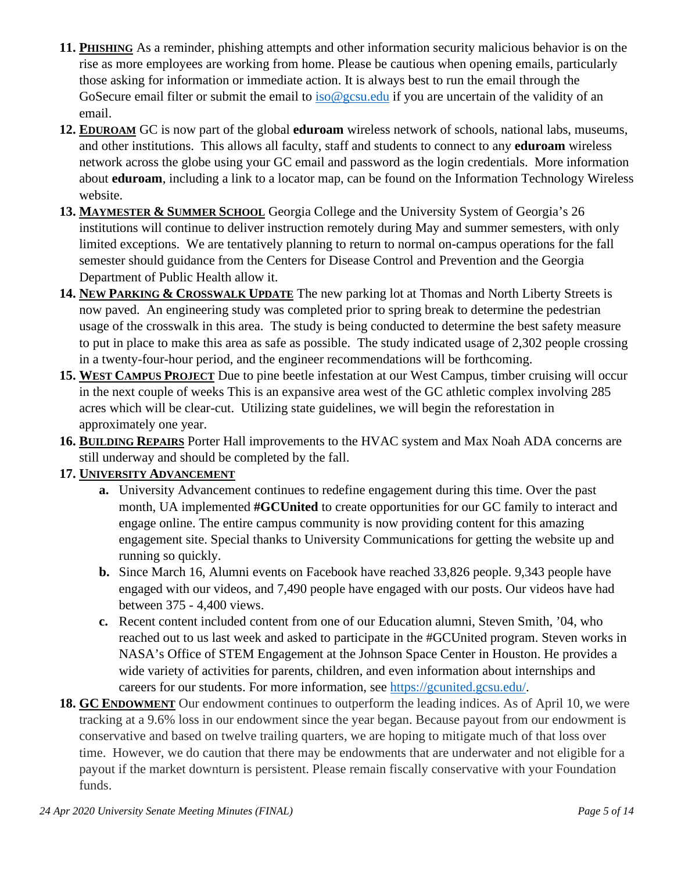- **11. PHISHING** As a reminder, phishing attempts and other information security malicious behavior is on the rise as more employees are working from home. Please be cautious when opening emails, particularly those asking for information or immediate action. It is always best to run the email through the GoSecure email filter or submit the email to [iso@gcsu.edu](mailto:iso@gcsu.edu) if you are uncertain of the validity of an email.
- **12. EDUROAM** GC is now part of the global **eduroam** wireless network of schools, national labs, museums, and other institutions. This allows all faculty, staff and students to connect to any **eduroam** wireless network across the globe using your GC email and password as the login credentials. More information about **eduroam**, including a link to a locator map, can be found on the Information Technology Wireless website.
- **13. MAYMESTER & SUMMER SCHOOL** Georgia College and the University System of Georgia's 26 institutions will continue to deliver instruction remotely during May and summer semesters, with only limited exceptions. We are tentatively planning to return to normal on-campus operations for the fall semester should guidance from the Centers for Disease Control and Prevention and the Georgia Department of Public Health allow it.
- **14. NEW PARKING & CROSSWALK UPDATE** The new parking lot at Thomas and North Liberty Streets is now paved. An engineering study was completed prior to spring break to determine the pedestrian usage of the crosswalk in this area. The study is being conducted to determine the best safety measure to put in place to make this area as safe as possible. The study indicated usage of 2,302 people crossing in a twenty-four-hour period, and the engineer recommendations will be forthcoming.
- **15. WEST CAMPUS PROJECT** Due to pine beetle infestation at our West Campus, timber cruising will occur in the next couple of weeks This is an expansive area west of the GC athletic complex involving 285 acres which will be clear-cut. Utilizing state guidelines, we will begin the reforestation in approximately one year.
- **16. BUILDING REPAIRS** Porter Hall improvements to the HVAC system and Max Noah ADA concerns are still underway and should be completed by the fall.

## **17. UNIVERSITY ADVANCEMENT**

- **a.** University Advancement continues to redefine engagement during this time. Over the past month, UA implemented **#GCUnited** to create opportunities for our GC family to interact and engage online. The entire campus community is now providing content for this amazing engagement site. Special thanks to University Communications for getting the website up and running so quickly.
- **b.** Since March 16, Alumni events on Facebook have reached 33,826 people. 9,343 people have engaged with our videos, and 7,490 people have engaged with our posts. Our videos have had between 375 - 4,400 views.
- **c.** Recent content included content from one of our Education alumni, Steven Smith, '04, who reached out to us last week and asked to participate in the #GCUnited program. Steven works in NASA's Office of STEM Engagement at the Johnson Space Center in Houston. He provides a wide variety of activities for parents, children, and even information about internships and careers for our students. For more information, see [https://gcunited.gcsu.edu/.](https://nam03.safelinks.protection.outlook.com/?url=https%25253A%25252F%25252Fgcunited.gcsu.edu%25252F&data=02%25257C01%25257Cmonica.starley%252540gcsu.edu%25257C320c90b8472740c177bc08d7dfff2361%25257Cbfd29cfa8e7142e69abc953a6d6f07d6%25257C0%25257C0%25257C637224159224004497&sdata=b6M%25252F7jFx5l41tjmcEQDNbXOn36rTBdDI1cvFMfinOQ0%25253D&reserved=0)
- **18. GC ENDOWMENT** Our endowment continues to outperform the leading indices. As of April 10, we were tracking at a 9.6% loss in our endowment since the year began. Because payout from our endowment is conservative and based on twelve trailing quarters, we are hoping to mitigate much of that loss over time. However, we do caution that there may be endowments that are underwater and not eligible for a payout if the market downturn is persistent. Please remain fiscally conservative with your Foundation funds.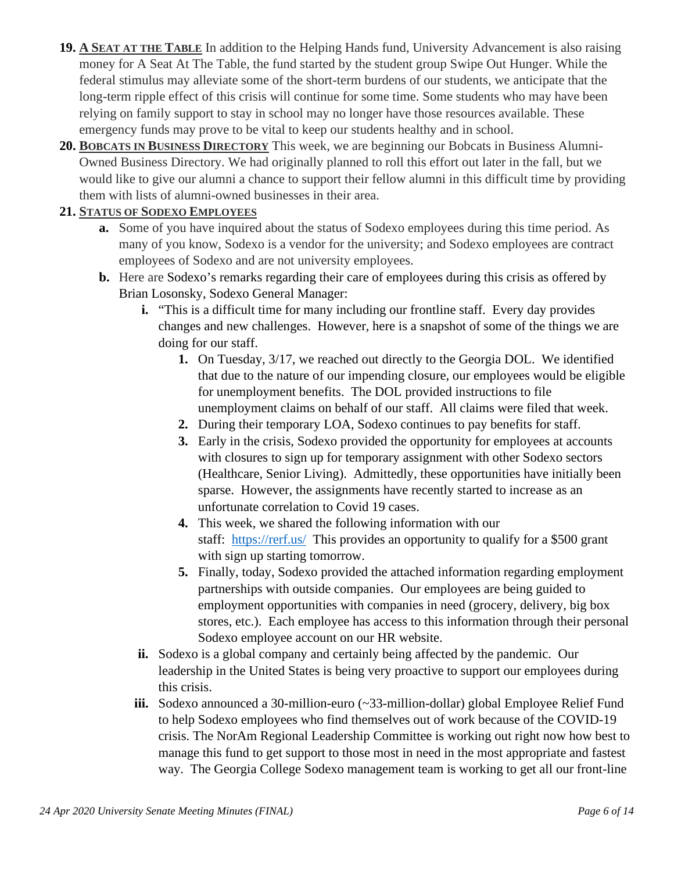- **19. A SEAT AT THE TABLE** In addition to the Helping Hands fund, University Advancement is also raising money for A Seat At The Table, the fund started by the student group Swipe Out Hunger. While the federal stimulus may alleviate some of the short-term burdens of our students, we anticipate that the long-term ripple effect of this crisis will continue for some time. Some students who may have been relying on family support to stay in school may no longer have those resources available. These emergency funds may prove to be vital to keep our students healthy and in school.
- **20. BOBCATS IN BUSINESS DIRECTORY** This week, we are beginning our Bobcats in Business Alumni-Owned Business Directory. We had originally planned to roll this effort out later in the fall, but we would like to give our alumni a chance to support their fellow alumni in this difficult time by providing them with lists of alumni-owned businesses in their area.

## **21. STATUS OF SODEXO EMPLOYEES**

- **a.** Some of you have inquired about the status of Sodexo employees during this time period. As many of you know, Sodexo is a vendor for the university; and Sodexo employees are contract employees of Sodexo and are not university employees.
- **b.** Here are Sodexo's remarks regarding their care of employees during this crisis as offered by Brian Losonsky, Sodexo General Manager:
	- **i.** "This is a difficult time for many including our frontline staff. Every day provides changes and new challenges. However, here is a snapshot of some of the things we are doing for our staff.
		- **1.** On Tuesday, 3/17, we reached out directly to the Georgia DOL. We identified that due to the nature of our impending closure, our employees would be eligible for unemployment benefits. The DOL provided instructions to file unemployment claims on behalf of our staff. All claims were filed that week.
		- **2.** During their temporary LOA, Sodexo continues to pay benefits for staff.
		- **3.** Early in the crisis, Sodexo provided the opportunity for employees at accounts with closures to sign up for temporary assignment with other Sodexo sectors (Healthcare, Senior Living). Admittedly, these opportunities have initially been sparse. However, the assignments have recently started to increase as an unfortunate correlation to Covid 19 cases.
		- **4.** This week, we shared the following information with our staff: [https://rerf.us/](https://nam03.safelinks.protection.outlook.com/?url=https%25253A%25252F%25252Frerf.us%25252F&data=02%25257C01%25257Cmonica.starley%252540gcsu.edu%25257Ca5f62f83d2654360029108d7e0986df1%25257Cbfd29cfa8e7142e69abc953a6d6f07d6%25257C0%25257C0%25257C637224817587976451&sdata=wCgXmBD5l0mFLHcB9oCQJZnwWYxKrW57z1TVx%25252FJTa1Y%25253D&reserved=0) This provides an opportunity to qualify for a \$500 grant with sign up starting tomorrow.
		- **5.** Finally, today, Sodexo provided the attached information regarding employment partnerships with outside companies. Our employees are being guided to employment opportunities with companies in need (grocery, delivery, big box stores, etc.). Each employee has access to this information through their personal Sodexo employee account on our HR website.
	- **ii.** Sodexo is a global company and certainly being affected by the pandemic. Our leadership in the United States is being very proactive to support our employees during this crisis.
	- **iii.** Sodexo announced a 30-million-euro (~33-million-dollar) global Employee Relief Fund to help Sodexo employees who find themselves out of work because of the COVID-19 crisis. The NorAm Regional Leadership Committee is working out right now how best to manage this fund to get support to those most in need in the most appropriate and fastest way. The Georgia College Sodexo management team is working to get all our front-line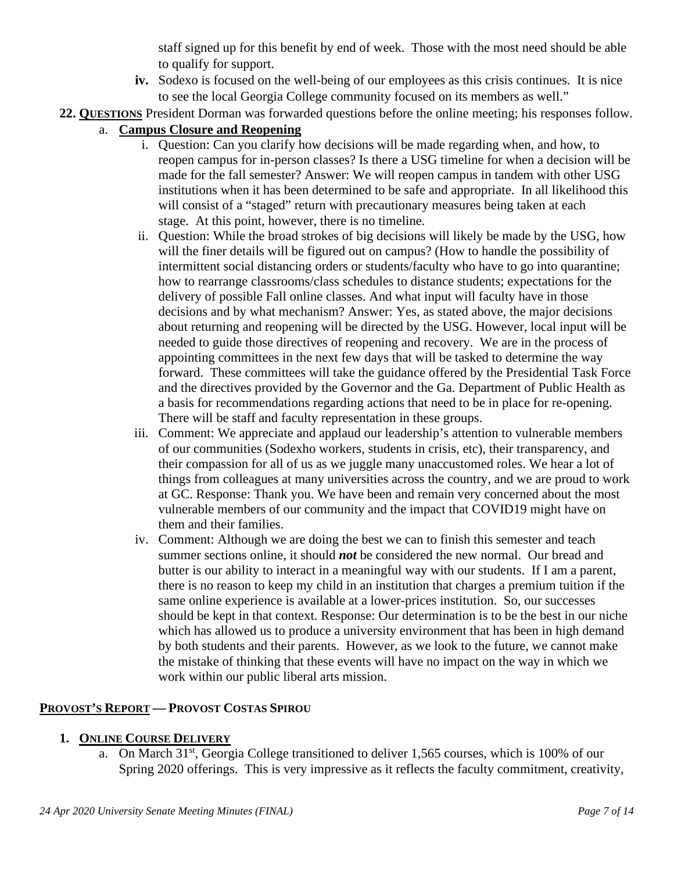staff signed up for this benefit by end of week. Those with the most need should be able to qualify for support.

- **iv.** Sodexo is focused on the well-being of our employees as this crisis continues. It is nice to see the local Georgia College community focused on its members as well."
- **22. QUESTIONS** President Dorman was forwarded questions before the online meeting; his responses follow.
	- a. **Campus Closure and Reopening**
		- i. Question: Can you clarify how decisions will be made regarding when, and how, to reopen campus for in-person classes? Is there a USG timeline for when a decision will be made for the fall semester? Answer: We will reopen campus in tandem with other USG institutions when it has been determined to be safe and appropriate. In all likelihood this will consist of a "staged" return with precautionary measures being taken at each stage. At this point, however, there is no timeline.
		- ii. Question: While the broad strokes of big decisions will likely be made by the USG, how will the finer details will be figured out on campus? (How to handle the possibility of intermittent social distancing orders or students/faculty who have to go into quarantine; how to rearrange classrooms/class schedules to distance students; expectations for the delivery of possible Fall online classes. And what input will faculty have in those decisions and by what mechanism? Answer: Yes, as stated above, the major decisions about returning and reopening will be directed by the USG. However, local input will be needed to guide those directives of reopening and recovery. We are in the process of appointing committees in the next few days that will be tasked to determine the way forward. These committees will take the guidance offered by the Presidential Task Force and the directives provided by the Governor and the Ga. Department of Public Health as a basis for recommendations regarding actions that need to be in place for re-opening. There will be staff and faculty representation in these groups.
		- iii. Comment: We appreciate and applaud our leadership's attention to vulnerable members of our communities (Sodexho workers, students in crisis, etc), their transparency, and their compassion for all of us as we juggle many unaccustomed roles. We hear a lot of things from colleagues at many universities across the country, and we are proud to work at GC. Response: Thank you. We have been and remain very concerned about the most vulnerable members of our community and the impact that COVID19 might have on them and their families.
		- iv. Comment: Although we are doing the best we can to finish this semester and teach summer sections online, it should *not* be considered the new normal. Our bread and butter is our ability to interact in a meaningful way with our students. If I am a parent, there is no reason to keep my child in an institution that charges a premium tuition if the same online experience is available at a lower-prices institution. So, our successes should be kept in that context. Response: Our determination is to be the best in our niche which has allowed us to produce a university environment that has been in high demand by both students and their parents. However, as we look to the future, we cannot make the mistake of thinking that these events will have no impact on the way in which we work within our public liberal arts mission.

### **PROVOST'S REPORT — PROVOST COSTAS SPIROU**

### **1. ONLINE COURSE DELIVERY**

a. On March 31st, Georgia College transitioned to deliver 1,565 courses, which is 100% of our Spring 2020 offerings. This is very impressive as it reflects the faculty commitment, creativity,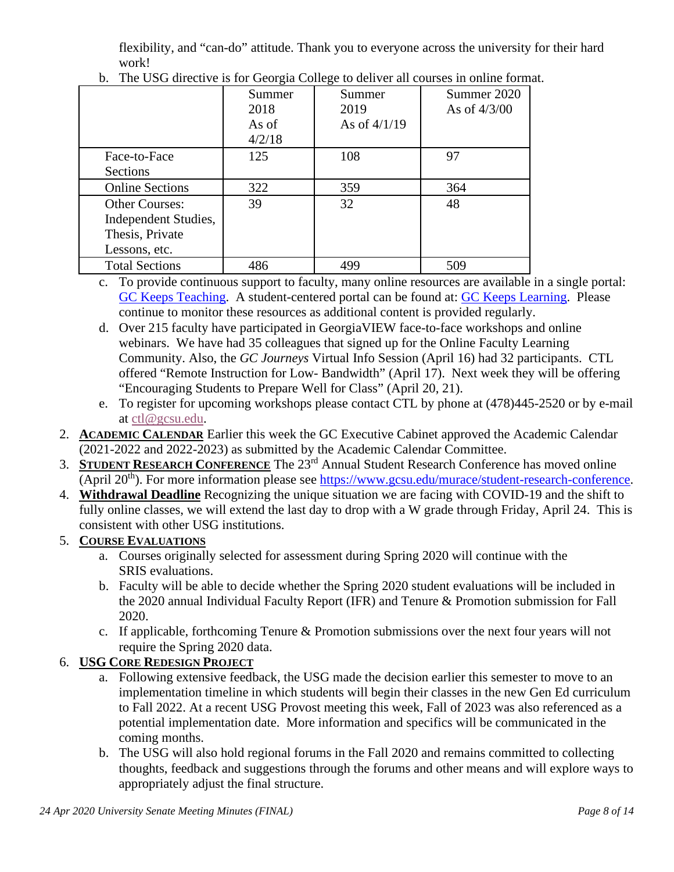flexibility, and "can-do" attitude. Thank you to everyone across the university for their hard work!

|                        | Summer<br>2018<br>As of<br>4/2/18 | Summer<br>2019<br>As of $4/1/19$ | Summer 2020<br>As of $4/3/00$ |
|------------------------|-----------------------------------|----------------------------------|-------------------------------|
| Face-to-Face           | 125                               | 108                              | 97                            |
| Sections               |                                   |                                  |                               |
| <b>Online Sections</b> | 322                               | 359                              | 364                           |
| <b>Other Courses:</b>  | 39                                | 32                               | 48                            |
| Independent Studies,   |                                   |                                  |                               |
| Thesis, Private        |                                   |                                  |                               |
| Lessons, etc.          |                                   |                                  |                               |
| <b>Total Sections</b>  | 486                               | 499                              | 509                           |

b. The USG directive is for Georgia College to deliver all courses in online format.

- c. To provide continuous support to faculty, many online resources are available in a single portal: [GC Keeps Teaching.](https://www.gcsu.edu/gckeepsteaching) A student-centered portal can be found at: [GC Keeps Learning.](https://www.gcsu.edu/gckeepslearning) Please continue to monitor these resources as additional content is provided regularly.
- d. Over 215 faculty have participated in GeorgiaVIEW face-to-face workshops and online webinars. We have had 35 colleagues that signed up for the Online Faculty Learning Community. Also, the *GC Journeys* Virtual Info Session (April 16) had 32 participants. CTL offered "Remote Instruction for Low- Bandwidth" (April 17). Next week they will be offering "Encouraging Students to Prepare Well for Class" (April 20, 21).
- e. To register for upcoming workshops please contact CTL by phone at (478)445-2520 or by e-mail at [ctl@gcsu.edu.](mailto:ctl@gcsu.edu)
- 2. **ACADEMIC CALENDAR** Earlier this week the GC Executive Cabinet approved the Academic Calendar (2021-2022 and 2022-2023) as submitted by the Academic Calendar Committee.
- 3. **STUDENT RESEARCH CONFERENCE** The 23rd Annual Student Research Conference has moved online (April 20th). For more information please see [https://www.gcsu.edu/murace/student-research-conference.](https://www.gcsu.edu/murace/student-research-conference)
- 4. **Withdrawal Deadline** Recognizing the unique situation we are facing with COVID-19 and the shift to fully online classes, we will extend the last day to drop with a W grade through Friday, April 24. This is consistent with other USG institutions.

## 5. **COURSE EVALUATIONS**

- a. Courses originally selected for assessment during Spring 2020 will continue with the SRIS evaluations.
- b. Faculty will be able to decide whether the Spring 2020 student evaluations will be included in the 2020 annual Individual Faculty Report (IFR) and Tenure & Promotion submission for Fall 2020.
- c. If applicable, forthcoming Tenure & Promotion submissions over the next four years will not require the Spring 2020 data.

## 6. **USG CORE REDESIGN PROJECT**

- a. Following extensive feedback, the USG made the decision earlier this semester to move to an implementation timeline in which students will begin their classes in the new Gen Ed curriculum to Fall 2022. At a recent USG Provost meeting this week, Fall of 2023 was also referenced as a potential implementation date. More information and specifics will be communicated in the coming months.
- b. The USG will also hold regional forums in the Fall 2020 and remains committed to collecting thoughts, feedback and suggestions through the forums and other means and will explore ways to appropriately adjust the final structure.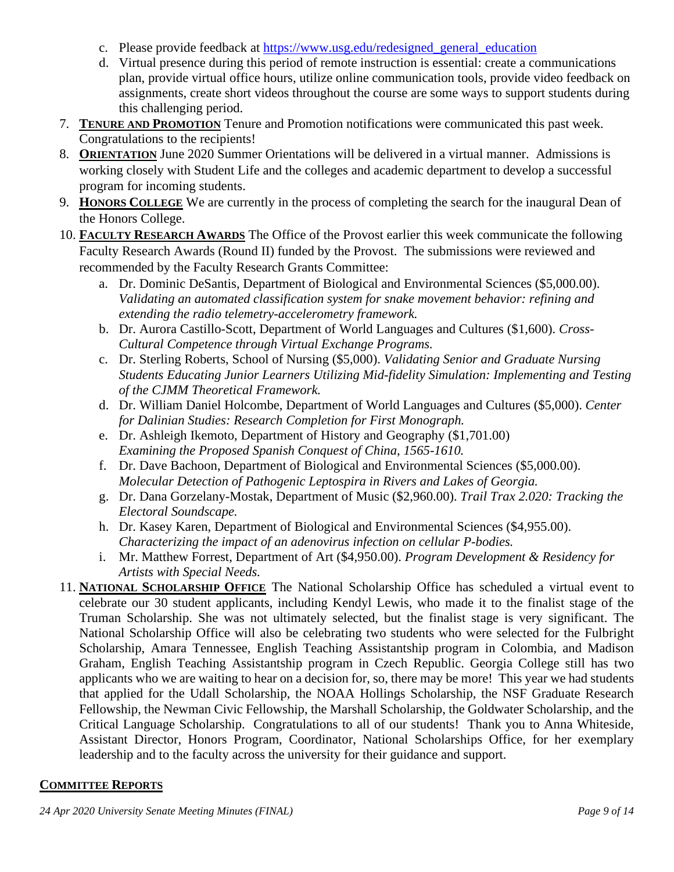- c. Please provide feedback at [https://www.usg.edu/redesigned\\_general\\_education](https://nam03.safelinks.protection.outlook.com/?url=https%3A%2F%2Fwww.usg.edu%2Fredesigned_general_education&data=02%7C01%7Ccostas.spirou%40gcsu.edu%7Cc7930c20812f425954cf08d787c95ca0%7Cbfd29cfa8e7142e69abc953a6d6f07d6%7C0%7C0%7C637127171233983830&sdata=0DoEXMPa6Y59fniApC6YgpcnjZUS%2FlZxC2CL%2FKo5%2BwE%3D&reserved=0)
- d. Virtual presence during this period of remote instruction is essential: create a communications plan, provide virtual office hours, utilize online communication tools, provide video feedback on assignments, create short videos throughout the course are some ways to support students during this challenging period.
- 7. **TENURE AND PROMOTION** Tenure and Promotion notifications were communicated this past week. Congratulations to the recipients!
- 8. **ORIENTATION** June 2020 Summer Orientations will be delivered in a virtual manner. Admissions is working closely with Student Life and the colleges and academic department to develop a successful program for incoming students.
- 9. **HONORS COLLEGE** We are currently in the process of completing the search for the inaugural Dean of the Honors College.
- 10. **FACULTY RESEARCH AWARDS** The Office of the Provost earlier this week communicate the following Faculty Research Awards (Round II) funded by the Provost. The submissions were reviewed and recommended by the Faculty Research Grants Committee:
	- a. Dr. Dominic DeSantis, Department of Biological and Environmental Sciences (\$5,000.00). *Validating an automated classification system for snake movement behavior: refining and extending the radio telemetry-accelerometry framework.*
	- b. Dr. Aurora Castillo-Scott, Department of World Languages and Cultures (\$1,600). *Cross-Cultural Competence through Virtual Exchange Programs.*
	- c. Dr. Sterling Roberts, School of Nursing (\$5,000). *Validating Senior and Graduate Nursing Students Educating Junior Learners Utilizing Mid-fidelity Simulation: Implementing and Testing of the CJMM Theoretical Framework.*
	- d. Dr. William Daniel Holcombe, Department of World Languages and Cultures (\$5,000). *Center for Dalinian Studies: Research Completion for First Monograph.*
	- e. Dr. Ashleigh Ikemoto, Department of History and Geography (\$1,701.00) *Examining the Proposed Spanish Conquest of China, 1565-1610.*
	- f. Dr. Dave Bachoon, Department of Biological and Environmental Sciences (\$5,000.00). *Molecular Detection of Pathogenic Leptospira in Rivers and Lakes of Georgia.*
	- g. Dr. Dana Gorzelany-Mostak, Department of Music (\$2,960.00). *Trail Trax 2.020: Tracking the Electoral Soundscape.*
	- h. Dr. Kasey Karen, Department of Biological and Environmental Sciences (\$4,955.00). *Characterizing the impact of an adenovirus infection on cellular P-bodies.*
	- i. Mr. Matthew Forrest, Department of Art (\$4,950.00). *Program Development & Residency for Artists with Special Needs.*
- 11. **NATIONAL SCHOLARSHIP OFFICE** The National Scholarship Office has scheduled a virtual event to celebrate our 30 student applicants, including Kendyl Lewis, who made it to the finalist stage of the Truman Scholarship. She was not ultimately selected, but the finalist stage is very significant. The National Scholarship Office will also be celebrating two students who were selected for the Fulbright Scholarship, Amara Tennessee, English Teaching Assistantship program in Colombia, and Madison Graham, English Teaching Assistantship program in Czech Republic. Georgia College still has two applicants who we are waiting to hear on a decision for, so, there may be more! This year we had students that applied for the Udall Scholarship, the NOAA Hollings Scholarship, the NSF Graduate Research Fellowship, the Newman Civic Fellowship, the Marshall Scholarship, the Goldwater Scholarship, and the Critical Language Scholarship. Congratulations to all of our students! Thank you to Anna Whiteside, Assistant Director, Honors Program, Coordinator, National Scholarships Office, for her exemplary leadership and to the faculty across the university for their guidance and support.

### **COMMITTEE REPORTS**

*24 Apr 2020 University Senate Meeting Minutes (FINAL) Page 9 of 14*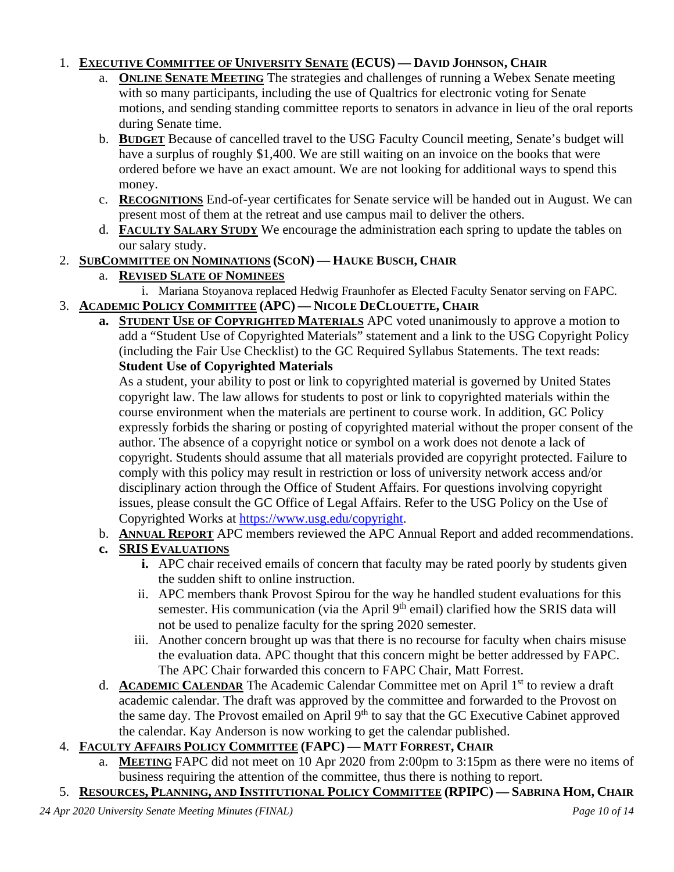## 1. **EXECUTIVE COMMITTEE OF UNIVERSITY SENATE (ECUS) — DAVID JOHNSON, CHAIR**

- a. **ONLINE SENATE MEETING** The strategies and challenges of running a Webex Senate meeting with so many participants, including the use of Qualtrics for electronic voting for Senate motions, and sending standing committee reports to senators in advance in lieu of the oral reports during Senate time.
- b. **BUDGET** Because of cancelled travel to the USG Faculty Council meeting, Senate's budget will have a surplus of roughly \$1,400. We are still waiting on an invoice on the books that were ordered before we have an exact amount. We are not looking for additional ways to spend this money.
- c. **RECOGNITIONS** End-of-year certificates for Senate service will be handed out in August. We can present most of them at the retreat and use campus mail to deliver the others.
- d. **FACULTY SALARY STUDY** We encourage the administration each spring to update the tables on our salary study.
- 2. **SUBCOMMITTEE ON NOMINATIONS (SCON) — HAUKE BUSCH, CHAIR**
	- a. **REVISED SLATE OF NOMINEES**
		- i. Mariana Stoyanova replaced Hedwig Fraunhofer as Elected Faculty Senator serving on FAPC.

## 3. **ACADEMIC POLICY COMMITTEE (APC) — NICOLE DECLOUETTE, CHAIR**

**a. STUDENT USE OF COPYRIGHTED MATERIALS** APC voted unanimously to approve a motion to add a "Student Use of Copyrighted Materials" statement and a link to the USG Copyright Policy (including the Fair Use Checklist) to the GC Required Syllabus Statements. The text reads: **Student Use of Copyrighted Materials**

As a student, your ability to post or link to copyrighted material is governed by United States copyright law. The law allows for students to post or link to copyrighted materials within the course environment when the materials are pertinent to course work. In addition, GC Policy expressly forbids the sharing or posting of copyrighted material without the proper consent of the author. The absence of a copyright notice or symbol on a work does not denote a lack of copyright. Students should assume that all materials provided are copyright protected. Failure to comply with this policy may result in restriction or loss of university network access and/or disciplinary action through the Office of Student Affairs. For questions involving copyright issues, please consult the GC Office of Legal Affairs. Refer to the USG Policy on the Use of Copyrighted Works at [https://www.usg.edu/copyright.](https://nam03.safelinks.protection.outlook.com/?url=https%3A%2F%2Fwww.usg.edu%2Fcopyright&data=02%7C01%7Cnicole.declouette%40gcsu.edu%7C30534b8605444f1e403f08d7dc8b1306%7Cbfd29cfa8e7142e69abc953a6d6f07d6%7C0%7C0%7C637220362188885256&sdata=SFsMMuE5Kz4UJ%2BT3epHkydLsyvlotkEPaqhAqVphjSg%3D&reserved=0)

- b. **ANNUAL REPORT** APC members reviewed the APC Annual Report and added recommendations.
- **c. SRIS EVALUATIONS**
	- **i.** APC chair received emails of concern that faculty may be rated poorly by students given the sudden shift to online instruction.
	- ii. APC members thank Provost Spirou for the way he handled student evaluations for this semester. His communication (via the April 9<sup>th</sup> email) clarified how the SRIS data will not be used to penalize faculty for the spring 2020 semester.
	- iii. Another concern brought up was that there is no recourse for faculty when chairs misuse the evaluation data. APC thought that this concern might be better addressed by FAPC. The APC Chair forwarded this concern to FAPC Chair, Matt Forrest.
- d. **ACADEMIC CALENDAR** The Academic Calendar Committee met on April 1st to review a draft academic calendar. The draft was approved by the committee and forwarded to the Provost on the same day. The Provost emailed on April 9<sup>th</sup> to say that the GC Executive Cabinet approved the calendar. Kay Anderson is now working to get the calendar published.

## 4. **FACULTY AFFAIRS POLICY COMMITTEE (FAPC) — MATT FORREST, CHAIR**

- a. **MEETING** FAPC did not meet on 10 Apr 2020 from 2:00pm to 3:15pm as there were no items of business requiring the attention of the committee, thus there is nothing to report.
- 5. **RESOURCES, PLANNING, AND INSTITUTIONAL POLICY COMMITTEE (RPIPC) — SABRINA HOM, CHAIR**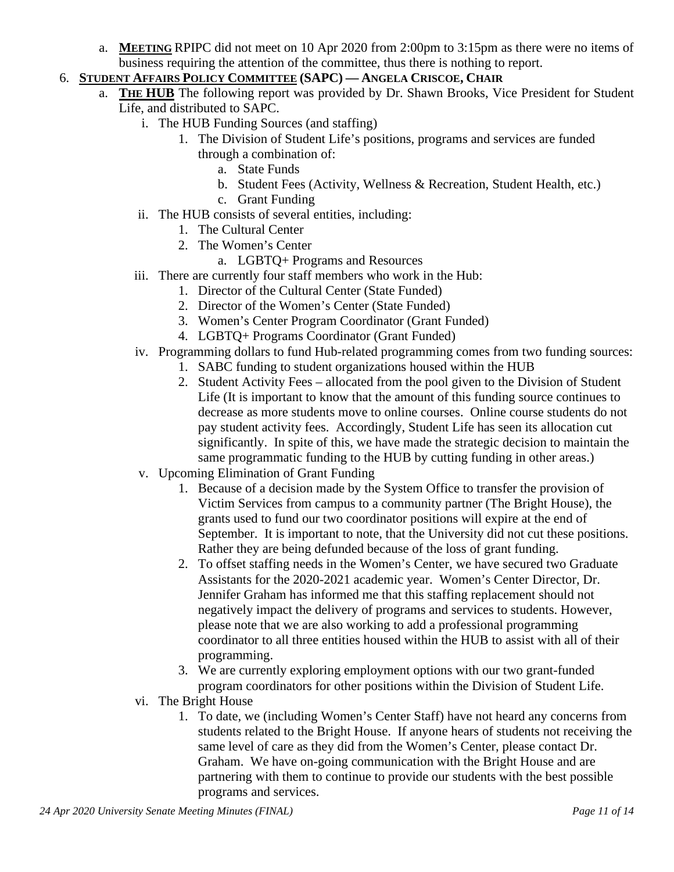- a. **MEETING** RPIPC did not meet on 10 Apr 2020 from 2:00pm to 3:15pm as there were no items of business requiring the attention of the committee, thus there is nothing to report.
- 6. **STUDENT AFFAIRS POLICY COMMITTEE (SAPC) — ANGELA CRISCOE, CHAIR**
	- a. **THE HUB** The following report was provided by Dr. Shawn Brooks, Vice President for Student Life, and distributed to SAPC.
		- i. The HUB Funding Sources (and staffing)
			- 1. The Division of Student Life's positions, programs and services are funded through a combination of:
				- a. State Funds
				- b. Student Fees (Activity, Wellness & Recreation, Student Health, etc.)
				- c. Grant Funding
		- ii. The HUB consists of several entities, including:
			- 1. The Cultural Center
			- 2. The Women's Center
				- a. LGBTQ+ Programs and Resources
		- iii. There are currently four staff members who work in the Hub:
			- 1. Director of the Cultural Center (State Funded)
			- 2. Director of the Women's Center (State Funded)
			- 3. Women's Center Program Coordinator (Grant Funded)
			- 4. LGBTQ+ Programs Coordinator (Grant Funded)
		- iv. Programming dollars to fund Hub-related programming comes from two funding sources:
			- 1. SABC funding to student organizations housed within the HUB
			- 2. Student Activity Fees allocated from the pool given to the Division of Student Life (It is important to know that the amount of this funding source continues to decrease as more students move to online courses. Online course students do not pay student activity fees. Accordingly, Student Life has seen its allocation cut significantly. In spite of this, we have made the strategic decision to maintain the same programmatic funding to the HUB by cutting funding in other areas.)
		- v. Upcoming Elimination of Grant Funding
			- 1. Because of a decision made by the System Office to transfer the provision of Victim Services from campus to a community partner (The Bright House), the grants used to fund our two coordinator positions will expire at the end of September. It is important to note, that the University did not cut these positions. Rather they are being defunded because of the loss of grant funding.
			- 2. To offset staffing needs in the Women's Center, we have secured two Graduate Assistants for the 2020-2021 academic year. Women's Center Director, Dr. Jennifer Graham has informed me that this staffing replacement should not negatively impact the delivery of programs and services to students. However, please note that we are also working to add a professional programming coordinator to all three entities housed within the HUB to assist with all of their programming.
			- 3. We are currently exploring employment options with our two grant-funded program coordinators for other positions within the Division of Student Life.
		- vi. The Bright House
			- 1. To date, we (including Women's Center Staff) have not heard any concerns from students related to the Bright House. If anyone hears of students not receiving the same level of care as they did from the Women's Center, please contact Dr. Graham. We have on-going communication with the Bright House and are partnering with them to continue to provide our students with the best possible programs and services.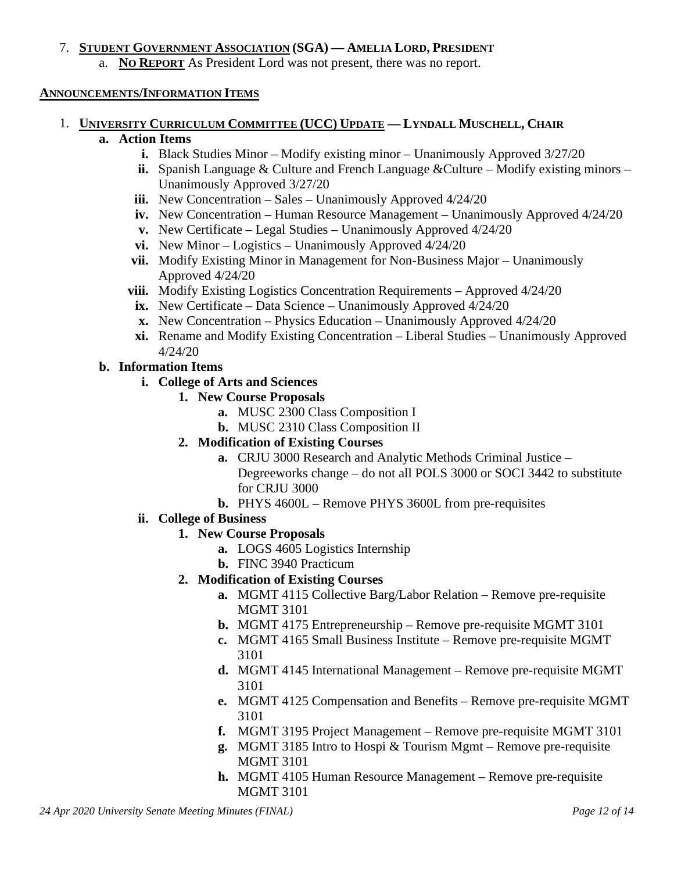#### 7. **STUDENT GOVERNMENT ASSOCIATION (SGA) — AMELIA LORD, PRESIDENT**

a. **NO REPORT** As President Lord was not present, there was no report.

#### **ANNOUNCEMENTS/INFORMATION ITEMS**

1. **UNIVERSITY CURRICULUM COMMITTEE (UCC) UPDATE — LYNDALL MUSCHELL, CHAIR**

#### **a. Action Items**

- **i.** Black Studies Minor Modify existing minor Unanimously Approved  $3/27/20$
- **ii.** Spanish Language & Culture and French Language & Culture Modify existing minors Unanimously Approved 3/27/20
- **iii.** New Concentration Sales Unanimously Approved 4/24/20
- **iv.** New Concentration Human Resource Management Unanimously Approved 4/24/20
- **v.** New Certificate Legal Studies Unanimously Approved 4/24/20
- **vi.** New Minor Logistics Unanimously Approved 4/24/20
- **vii.** Modify Existing Minor in Management for Non-Business Major Unanimously Approved 4/24/20
- **viii.** Modify Existing Logistics Concentration Requirements Approved 4/24/20
- **ix.** New Certificate Data Science Unanimously Approved 4/24/20
- **x.** New Concentration Physics Education Unanimously Approved 4/24/20
- **xi.** Rename and Modify Existing Concentration Liberal Studies Unanimously Approved 4/24/20

### **b. Information Items**

- **i. College of Arts and Sciences**
	- **1. New Course Proposals**
		- **a.** MUSC 2300 Class Composition I
		- **b.** MUSC 2310 Class Composition II
	- **2. Modification of Existing Courses**
		- **a.** CRJU 3000 Research and Analytic Methods Criminal Justice Degreeworks change – do not all POLS 3000 or SOCI 3442 to substitute for CRJU 3000
		- **b.** PHYS 4600L Remove PHYS 3600L from pre-requisites
- **ii. College of Business**
	- **1. New Course Proposals**
		- **a.** LOGS 4605 Logistics Internship
		- **b.** FINC 3940 Practicum
	- **2. Modification of Existing Courses**
		- **a.** MGMT 4115 Collective Barg/Labor Relation Remove pre-requisite MGMT 3101
		- **b.** MGMT 4175 Entrepreneurship Remove pre-requisite MGMT 3101
		- **c.** MGMT 4165 Small Business Institute Remove pre-requisite MGMT 3101
		- **d.** MGMT 4145 International Management Remove pre-requisite MGMT 3101
		- **e.** MGMT 4125 Compensation and Benefits Remove pre-requisite MGMT 3101
		- **f.** MGMT 3195 Project Management Remove pre-requisite MGMT 3101
		- **g.** MGMT 3185 Intro to Hospi & Tourism Mgmt Remove pre-requisite MGMT 3101
		- **h.** MGMT 4105 Human Resource Management Remove pre-requisite MGMT 3101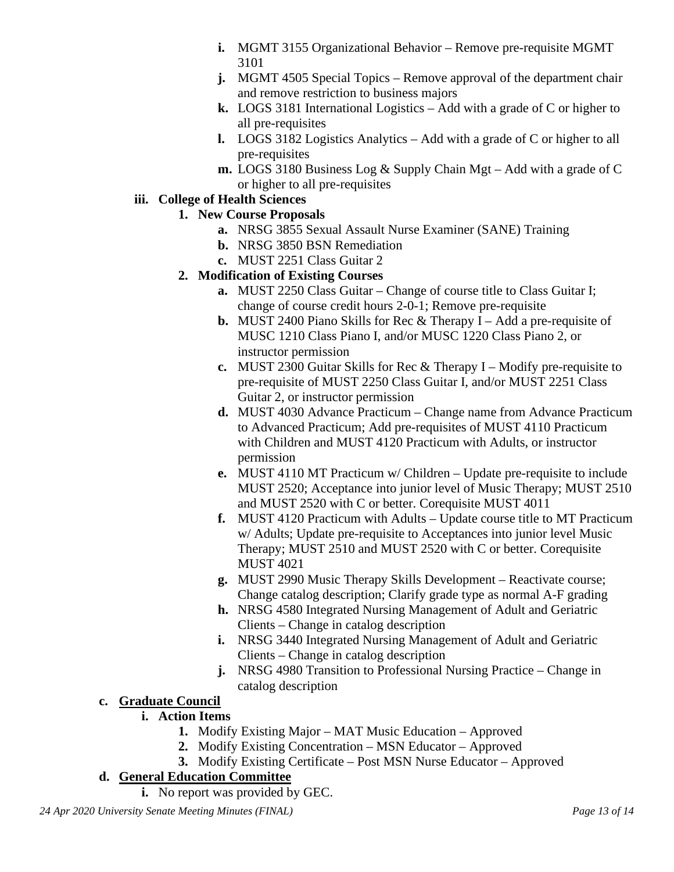- **i.** MGMT 3155 Organizational Behavior Remove pre-requisite MGMT 3101
- **j.** MGMT 4505 Special Topics Remove approval of the department chair and remove restriction to business majors
- **k.** LOGS 3181 International Logistics Add with a grade of C or higher to all pre-requisites
- **l.** LOGS 3182 Logistics Analytics Add with a grade of C or higher to all pre-requisites
- **m.** LOGS 3180 Business Log & Supply Chain Mgt Add with a grade of C or higher to all pre-requisites

### **iii. College of Health Sciences**

- **1. New Course Proposals**
	- **a.** NRSG 3855 Sexual Assault Nurse Examiner (SANE) Training
	- **b.** NRSG 3850 BSN Remediation
	- **c.** MUST 2251 Class Guitar 2
- **2. Modification of Existing Courses**
	- **a.** MUST 2250 Class Guitar Change of course title to Class Guitar I; change of course credit hours 2-0-1; Remove pre-requisite
	- **b.** MUST 2400 Piano Skills for Rec & Therapy I Add a pre-requisite of MUSC 1210 Class Piano I, and/or MUSC 1220 Class Piano 2, or instructor permission
	- **c.** MUST 2300 Guitar Skills for Rec & Therapy I Modify pre-requisite to pre-requisite of MUST 2250 Class Guitar I, and/or MUST 2251 Class Guitar 2, or instructor permission
	- **d.** MUST 4030 Advance Practicum Change name from Advance Practicum to Advanced Practicum; Add pre-requisites of MUST 4110 Practicum with Children and MUST 4120 Practicum with Adults, or instructor permission
	- **e.** MUST 4110 MT Practicum w/ Children Update pre-requisite to include MUST 2520; Acceptance into junior level of Music Therapy; MUST 2510 and MUST 2520 with C or better. Corequisite MUST 4011
	- **f.** MUST 4120 Practicum with Adults Update course title to MT Practicum w/ Adults; Update pre-requisite to Acceptances into junior level Music Therapy; MUST 2510 and MUST 2520 with C or better. Corequisite MUST 4021
	- **g.** MUST 2990 Music Therapy Skills Development Reactivate course; Change catalog description; Clarify grade type as normal A-F grading
	- **h.** NRSG 4580 Integrated Nursing Management of Adult and Geriatric Clients – Change in catalog description
	- **i.** NRSG 3440 Integrated Nursing Management of Adult and Geriatric Clients – Change in catalog description
	- **j.** NRSG 4980 Transition to Professional Nursing Practice Change in catalog description

## **c. Graduate Council**

### **i. Action Items**

- **1.** Modify Existing Major MAT Music Education Approved
- **2.** Modify Existing Concentration MSN Educator Approved
- **3.** Modify Existing Certificate Post MSN Nurse Educator Approved

## **d. General Education Committee**

**i.** No report was provided by GEC.